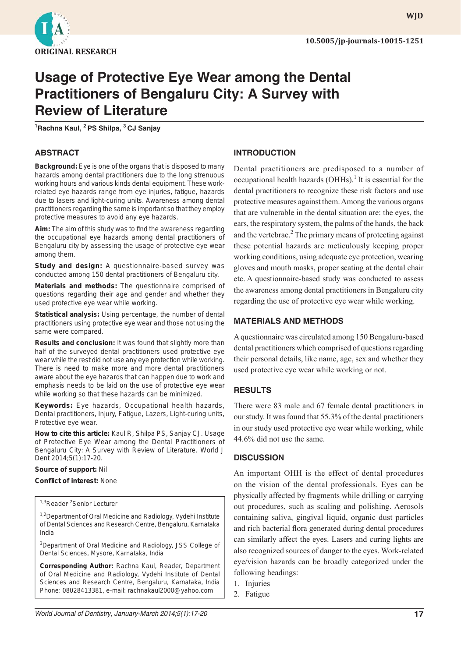

**WJD**

# **Usage of Protective Eye Wear among the Dental Practitioners of Bengaluru City: A Survey with Review of Literature**

**1 Rachna Kaul, 2 PS Shilpa, 3 CJ Sanjay**

## **ABSTRACT**

**Background:** Eye is one of the organs that is disposed to many hazards among dental practitioners due to the long strenuous working hours and various kinds dental equipment. These workrelated eye hazards range from eye injuries, fatigue, hazards due to lasers and light-curing units. Awareness among dental practitioners regarding the same is important so that they employ protective measures to avoid any eye hazards.

Aim: The aim of this study was to find the awareness regarding the occupational eye hazards among dental practitioners of Bengaluru city by assessing the usage of protective eye wear among them.

**Study and design:** A questionnaire-based survey was conducted among 150 dental practitioners of Bengaluru city.

**Materials and methods:** The questionnaire comprised of questions regarding their age and gender and whether they used protective eye wear while working.

**Statistical analysis:** Using percentage, the number of dental practitioners using protective eye wear and those not using the same were compared.

**Results and conclusion:** It was found that slightly more than half of the surveyed dental practitioners used protective eye wear while the rest did not use any eye protection while working. There is need to make more and more dental practitioners aware about the eye hazards that can happen due to work and emphasis needs to be laid on the use of protective eye wear while working so that these hazards can be minimized.

**Keywords:** Eye hazards, Occupational health hazards, Dental practitioners, Injury, Fatigue, Lazers, Light-curing units, Protective eye wear.

**How to cite this article:** Kaul R, Shilpa PS, Sanjay CJ. Usage of Protective Eye Wear among the Dental Practitioners of Bengaluru City: A Survey with Review of Literature. World J Dent 2014;5(1):17-20.

#### **Source of support:** Nil

#### **Confl ict of interest:** None

1,3Reader<sup>2</sup>Senior Lecturer

<sup>1,2</sup>Department of Oral Medicine and Radiology, Vydehi Institute of Dental Sciences and Research Centre, Bengaluru, Karnataka India

<sup>3</sup>Department of Oral Medicine and Radiology, JSS College of Dental Sciences, Mysore, Karnataka, India

**Corresponding Author:** Rachna Kaul, Reader, Department of Oral Medicine and Radiology, Vydehi Institute of Dental Sciences and Research Centre, Bengaluru, Karnataka, India Phone: 08028413381, e-mail: rachnakaul2000@yahoo.com

## **INTRODUCTION**

Dental practitioners are predisposed to a number of occupational health hazards  $(OHHs)$ .<sup>1</sup> It is essential for the dental practitioners to recognize these risk factors and use protective measures against them. Among the various organs that are vulnerable in the dental situation are: the eyes, the ears, the respiratory system, the palms of the hands, the back and the vertebrae.<sup>2</sup> The primary means of protecting against these potential hazards are meticulously keeping proper working conditions, using adequate eye protection, wearing gloves and mouth masks, proper seating at the dental chair etc. A questionnaire-based study was conducted to assess the awareness among dental practitioners in Bengaluru city regarding the use of protective eye wear while working.

## **MATERIALS AND METHODS**

A questionnaire was circulated among 150 Bengaluru-based dental practitioners which comprised of questions regarding their personal details, like name, age, sex and whether they used protective eye wear while working or not.

## **RESULTS**

There were 83 male and 67 female dental practitioners in our study. It was found that 55.3% of the dental practitioners in our study used protective eye wear while working, while 44.6% did not use the same.

## **DISCUSSION**

An important OHH is the effect of dental procedures on the vision of the dental professionals. Eyes can be physically affected by fragments while drilling or carrying out procedures, such as scaling and polishing. Aerosols containing saliva, gingival liquid, organic dust particles and rich bacterial flora generated during dental procedures can similarly affect the eyes. Lasers and curing lights are also recognized sources of danger to the eyes. Work-related eye/vision hazards can be broadly categorized under the following headings:

- 1. Injuries
- 2. Fatigue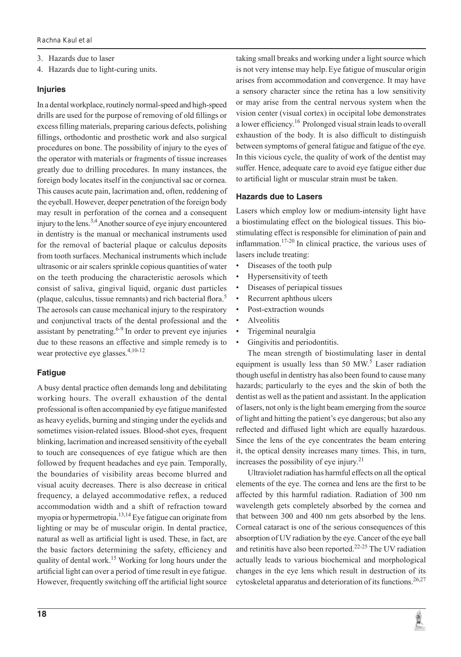- 3. Hazards due to laser
- 4. Hazards due to light-curing units.

#### **Injuries**

In a dental workplace, routinely normal-speed and high-speed drills are used for the purpose of removing of old fillings or excess filling materials, preparing carious defects, polishing fillings, orthodontic and prosthetic work and also surgical procedures on bone. The possibility of injury to the eyes of the operator with materials or fragments of tissue increases greatly due to drilling procedures. In many instances, the foreign body locates itself in the conjunctival sac or cornea. This causes acute pain, lacrimation and, often, reddening of the eyeball. However, deeper penetration of the foreign body may result in perforation of the cornea and a consequent injury to the lens.3,4 Another source of eye injury encountered in dentistry is the manual or mechanical instruments used for the removal of bacterial plaque or calculus deposits from tooth surfaces. Mechanical instruments which include ultrasonic or air scalers sprinkle copious quantities of water on the teeth producing the characteristic aerosols which consist of saliva, gingival liquid, organic dust particles (plaque, calculus, tissue remnants) and rich bacterial flora. $<sup>5</sup>$ </sup> The aerosols can cause mechanical injury to the respiratory and conjunctival tracts of the dental professional and the assistant by penetrating. $6-9$  In order to prevent eye injuries due to these reasons an effective and simple remedy is to wear protective eye glasses.4,10-12

# **Fatigue**

A busy dental practice often demands long and debilitating working hours. The overall exhaustion of the dental professional is often accompanied by eye fatigue manifested as heavy eyelids, burning and stinging under the eyelids and sometimes vision-related issues. Blood-shot eyes, frequent blinking, lacrimation and increased sensitivity of the eyeball to touch are consequences of eye fatigue which are then followed by frequent headaches and eye pain. Temporally, the boundaries of visibility areas become blurred and visual acuity decreases. There is also decrease in critical frequency, a delayed accommodative reflex, a reduced accommodation width and a shift of refraction toward myopia or hypermetropia.<sup>13,14</sup> Eye fatigue can originate from lighting or may be of muscular origin. In dental practice, natural as well as artificial light is used. These, in fact, are the basic factors determining the safety, efficiency and quality of dental work.<sup>15</sup> Working for long hours under the artificial light can over a period of time result in eye fatigue. However, frequently switching off the artificial light source taking small breaks and working under a light source which is not very intense may help.Eye fatigue of muscular origin arises from accommodation and convergence. It may have a sensory character since the retina has a low sensitivity or may arise from the central nervous system when the vision center (visual cortex) in occipital lobe demonstrates a lower efficiency.<sup>16</sup> Prolonged visual strain leads to overall exhaustion of the body. It is also difficult to distinguish between symptoms of general fatigue and fatigue of the eye. In this vicious cycle, the quality of work of the dentist may suffer. Hence, adequate care to avoid eye fatigue either due to artificial light or muscular strain must be taken.

## **Hazards due to Lasers**

Lasers which employ low or medium-intensity light have a biostimulating effect on the biological tissues. This biostimulating effect is responsible for elimination of pain and inflammation.<sup>17-20</sup> In clinical practice, the various uses of lasers include treating:

- Diseases of the tooth pulp
- Hypersensitivity of teeth
- Diseases of periapical tissues
- Recurrent aphthous ulcers
- Post-extraction wounds
- Alveolitis
- Trigeminal neuralgia
- Gingivitis and periodontitis.

The mean strength of biostimulating laser in dental equipment is usually less than 50 MW.<sup>5</sup> Laser radiation though useful in dentistry has also been found to cause many hazards; particularly to the eyes and the skin of both the dentist as well as the patient and assistant. In the application of lasers, not only is the light beam emerging from the source of light and hitting the patient's eye dangerous; but also any reflected and diffused light which are equally hazardous. Since the lens of the eye concentrates the beam entering it, the optical density increases many times. This, in turn, increases the possibility of eye injury.<sup>21</sup>

Ultraviolet radiation has harmful effects on all the optical elements of the eye. The cornea and lens are the first to be affected by this harmful radiation. Radiation of 300 nm wavelength gets completely absorbed by the cornea and that between 300 and 400 nm gets absorbed by the lens. Corneal cataract is one of the serious consequences of this absorption of UV radiation by the eye. Cancer of the eye ball and retinitis have also been reported.<sup>22-25</sup> The UV radiation actually leads to various biochemical and morphological changes in the eye lens which result in destruction of its cytoskeletal apparatus and deterioration of its functions.<sup>26,27</sup>

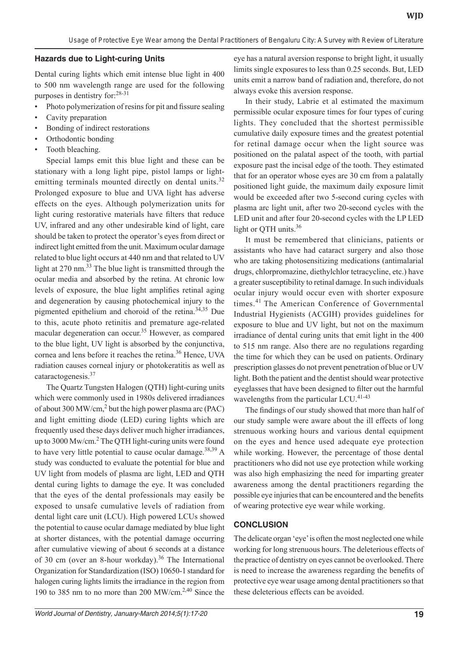#### **Hazards due to Light-curing Units**

Dental curing lights which emit intense blue light in 400 to 500 nm wavelength range are used for the following purposes in dentistry for:28-31

- Photo polymerization of resins for pit and fissure sealing
- Cavity preparation
- Bonding of indirect restorations
- Orthodontic bonding
- Tooth bleaching.

Special lamps emit this blue light and these can be stationary with a long light pipe, pistol lamps or lightemitting terminals mounted directly on dental units.<sup>32</sup> Prolonged exposure to blue and UVA light has adverse effects on the eyes. Although polymerization units for light curing restorative materials have filters that reduce UV, infrared and any other undesirable kind of light, care should be taken to protect the operator's eyes from direct or indirect light emitted from the unit. Maximum ocular damage related to blue light occurs at 440 nm and that related to UV light at 270 nm.<sup>33</sup> The blue light is transmitted through the ocular media and absorbed by the retina. At chronic low levels of exposure, the blue light amplifies retinal aging and degeneration by causing photochemical injury to the pigmented epithelium and choroid of the retina.<sup>34,35</sup> Due to this, acute photo retinitis and premature age-related macular degeneration can occur.<sup>35</sup> However, as compared to the blue light, UV light is absorbed by the conjunctiva, cornea and lens before it reaches the retina.<sup>36</sup> Hence, UVA radiation causes corneal injury or photokeratitis as well as cataractogenesis.37

The Quartz Tungsten Halogen (QTH) light-curing units which were commonly used in 1980s delivered irradiances of about 300 MW/cm,<sup>2</sup> but the high power plasma arc (PAC) and light emitting diode (LED) curing lights which are frequently used these days deliver much higher irradiances, up to 3000 Mw/cm.<sup>2</sup> The QTH light-curing units were found to have very little potential to cause ocular damage.<sup>38,39</sup> A study was conducted to evaluate the potential for blue and UV light from models of plasma arc light, LED and QTH dental curing lights to damage the eye. It was concluded that the eyes of the dental professionals may easily be exposed to unsafe cumulative levels of radiation from dental light care unit (LCU). High powered LCUs showed the potential to cause ocular damage mediated by blue light at shorter distances, with the potential damage occurring after cumulative viewing of about 6 seconds at a distance of 30 cm (over an 8-hour workday).<sup>36</sup> The International Organization for Standardization (ISO) 10650-1 standard for halogen curing lights limits the irradiance in the region from 190 to 385 nm to no more than 200 MW/cm.2,40 Since the

eye has a natural aversion response to bright light, it usually limits single exposures to less than 0.25 seconds. But, LED units emit a narrow band of radiation and, therefore, do not always evoke this aversion response.

In their study, Labrie et al estimated the maximum permissible ocular exposure times for four types of curing lights. They concluded that the shortest permissible cumulative daily exposure times and the greatest potential for retinal damage occur when the light source was positioned on the palatal aspect of the tooth, with partial exposure past the incisal edge of the tooth. They estimated that for an operator whose eyes are 30 cm from a palatally positioned light guide, the maximum daily exposure limit would be exceeded after two 5-second curing cycles with plasma arc light unit, after two 20-second cycles with the LED unit and after four 20-second cycles with the LP LED light or QTH units.<sup>36</sup>

It must be remembered that clinicians, patients or assistants who have had cataract surgery and also those who are taking photosensitizing medications (antimalarial drugs, chlorpromazine, diethylchlor tetracycline, etc.) have a greater susceptibility to retinal damage. In such individuals ocular injury would occur even with shorter exposure times.41 The American Conference of Governmental Industrial Hygienists (ACGIH) provides guidelines for exposure to blue and UV light, but not on the maximum irradiance of dental curing units that emit light in the 400 to 515 nm range. Also there are no regulations regarding the time for which they can be used on patients. Ordinary prescription glasses do not prevent penetration of blue or UV light. Both the patient and the dentist should wear protective eyeglasses that have been designed to filter out the harmful wavelengths from the particular LCU.<sup>41-43</sup>

The findings of our study showed that more than half of our study sample were aware about the ill effects of long strenuous working hours and various dental equipment on the eyes and hence used adequate eye protection while working. However, the percentage of those dental practitioners who did not use eye protection while working was also high emphasizing the need for imparting greater awareness among the dental practitioners regarding the possible eye injuries that can be encountered and the benefits of wearing protective eye wear while working.

## **CONCLUSION**

The delicate organ 'eye' is often the most neglected one while working for long strenuous hours. The deleterious effects of the practice of dentistry on eyes cannot be overlooked. There is need to increase the awareness regarding the benefits of protective eye wear usage among dental practitioners so that these deleterious effects can be avoided.